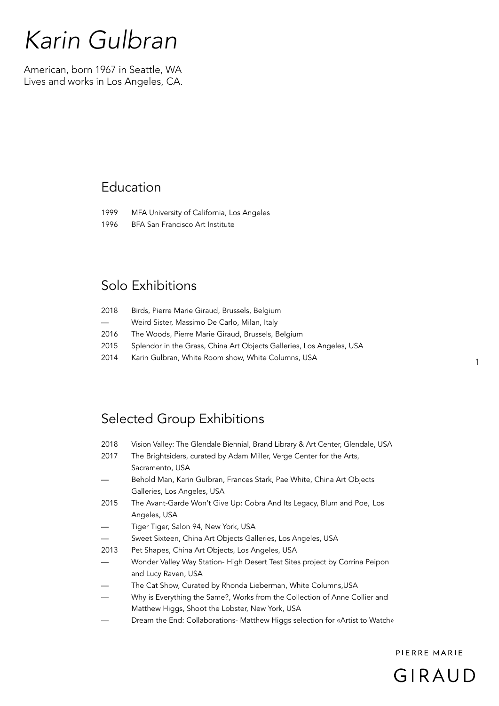## *Karin Gulbran*

American, born 1967 in Seattle, WA Lives and works in Los Angeles, CA.

## Education

- 1999 MFA University of California, Los Angeles
- 1996 BFA San Francisco Art Institute

## Solo Exhibitions

| 2018                     | Birds, Pierre Marie Giraud, Brussels, Belgium                        |
|--------------------------|----------------------------------------------------------------------|
| $\overline{\phantom{a}}$ | Weird Sister, Massimo De Carlo, Milan, Italy                         |
| 2016                     | The Woods, Pierre Marie Giraud, Brussels, Belgium                    |
| 2015                     | Splendor in the Grass, China Art Objects Galleries, Los Angeles, USA |
| 2014                     | Karin Gulbran, White Room show, White Columns, USA                   |

## Selected Group Exhibitions

- 2018 Vision Valley: The Glendale Biennial, Brand Library & Art Center, Glendale, USA
- 2017 The Brightsiders, curated by Adam Miller, Verge Center for the Arts, Sacramento, USA
- Behold Man, Karin Gulbran, Frances Stark, Pae White, China Art Objects Galleries, Los Angeles, USA
- 2015 The Avant-Garde Won't Give Up: Cobra And Its Legacy, Blum and Poe, Los Angeles, USA
- Tiger Tiger, Salon 94, New York, USA
- Sweet Sixteen, China Art Objects Galleries, Los Angeles, USA

2013 Pet Shapes, China Art Objects, Los Angeles, USA

- Wonder Valley Way Station- High Desert Test Sites project by Corrina Peipon and Lucy Raven, USA
- The Cat Show, Curated by Rhonda Lieberman, White Columns, USA
- Why is Everything the Same?, Works from the Collection of Anne Collier and Matthew Higgs, Shoot the Lobster, New York, USA
- Dream the End: Collaborations- Matthew Higgs selection for «Artist to Watch»

PIFRRF MARIF



1